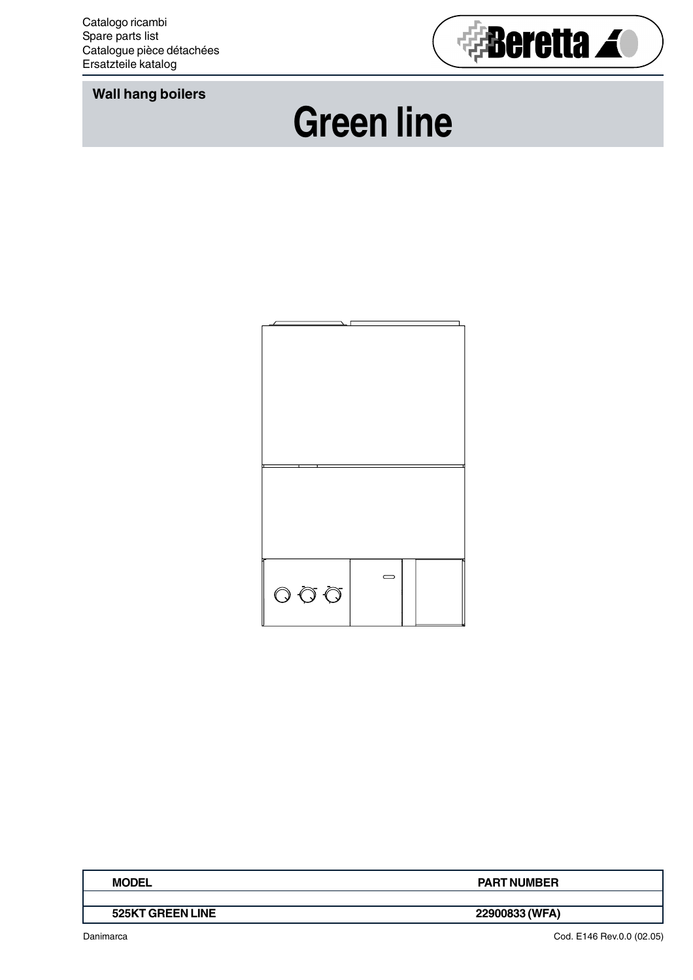**Wall hang boilers**



## **Green line**



| <b>MODEL</b>     | <b>PART NUMBER</b> |
|------------------|--------------------|
|                  |                    |
| 525KT GREEN LINE | 22900833 (WFA)     |

Danimarca

Cod. E146 Rev.0.0 (02.05)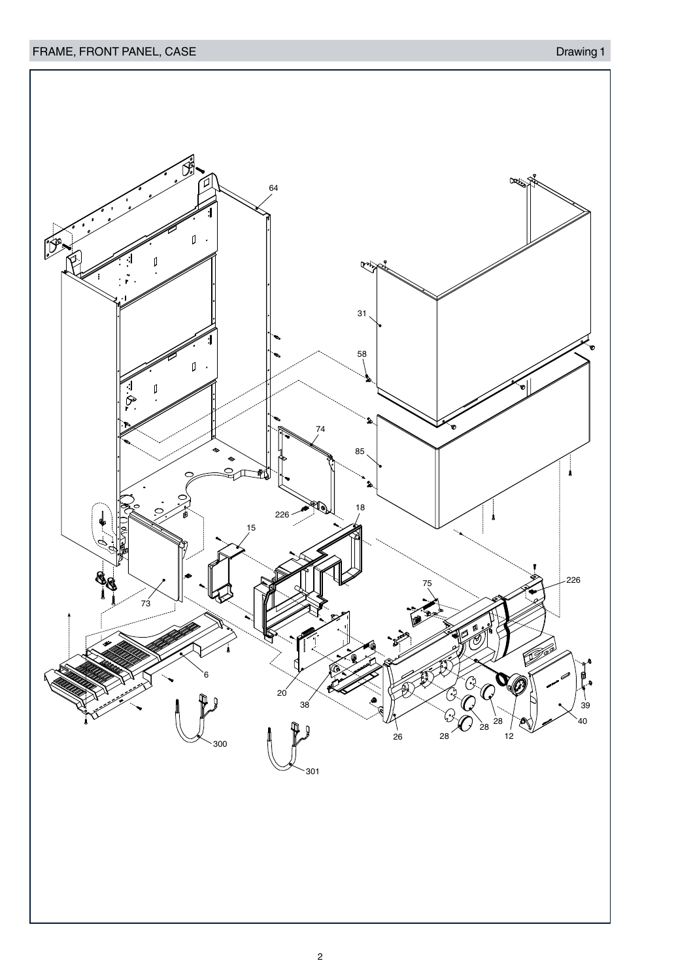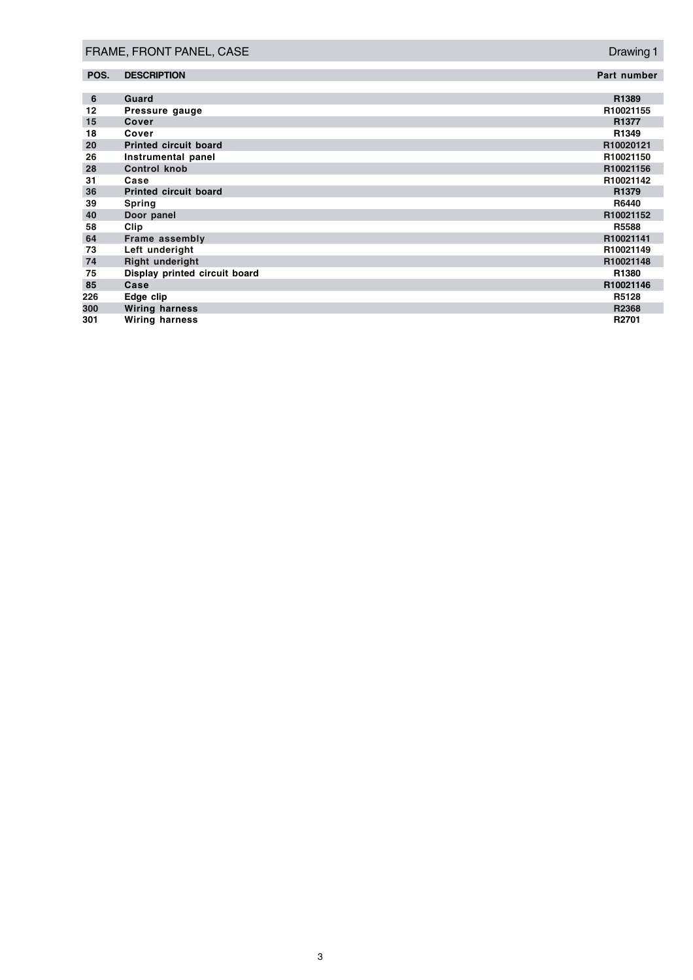| FRAME, FRONT PANEL, CASE |                               | Drawing 1    |
|--------------------------|-------------------------------|--------------|
| POS.                     | <b>DESCRIPTION</b>            | Part number  |
| 6                        | Guard                         | R1389        |
| 12                       | Pressure gauge                | R10021155    |
| 15                       | Cover                         | R1377        |
| 18                       | Cover                         | R1349        |
| 20                       | <b>Printed circuit board</b>  | R10020121    |
| 26                       | Instrumental panel            | R10021150    |
| 28                       | <b>Control knob</b>           | R10021156    |
| 31                       | Case                          | R10021142    |
| 36                       | <b>Printed circuit board</b>  | R1379        |
| 39                       | <b>Spring</b>                 | <b>R6440</b> |
| 40                       | Door panel                    | R10021152    |
| 58                       | Clip                          | R5588        |
| 64                       | Frame assembly                | R10021141    |
| 73                       | Left underight                | R10021149    |
| 74                       | <b>Right underight</b>        | R10021148    |
| 75                       | Display printed circuit board | R1380        |
| 85                       | Case                          | R10021146    |
| 226                      | Edge clip                     | R5128        |
| 300                      | <b>Wiring harness</b>         | R2368        |
| 301                      | <b>Wiring harness</b>         | R2701        |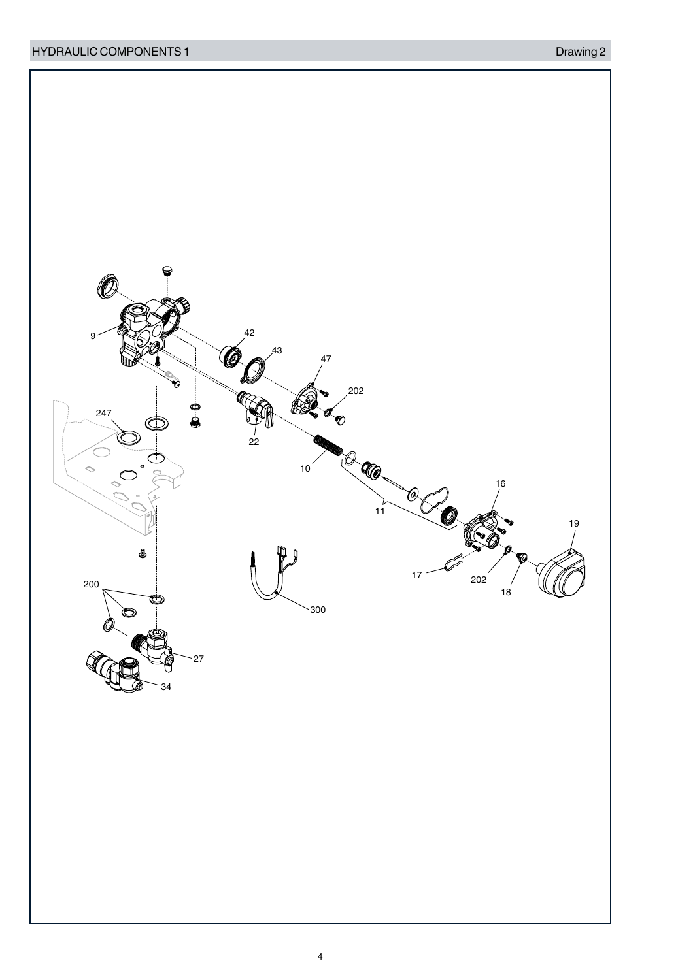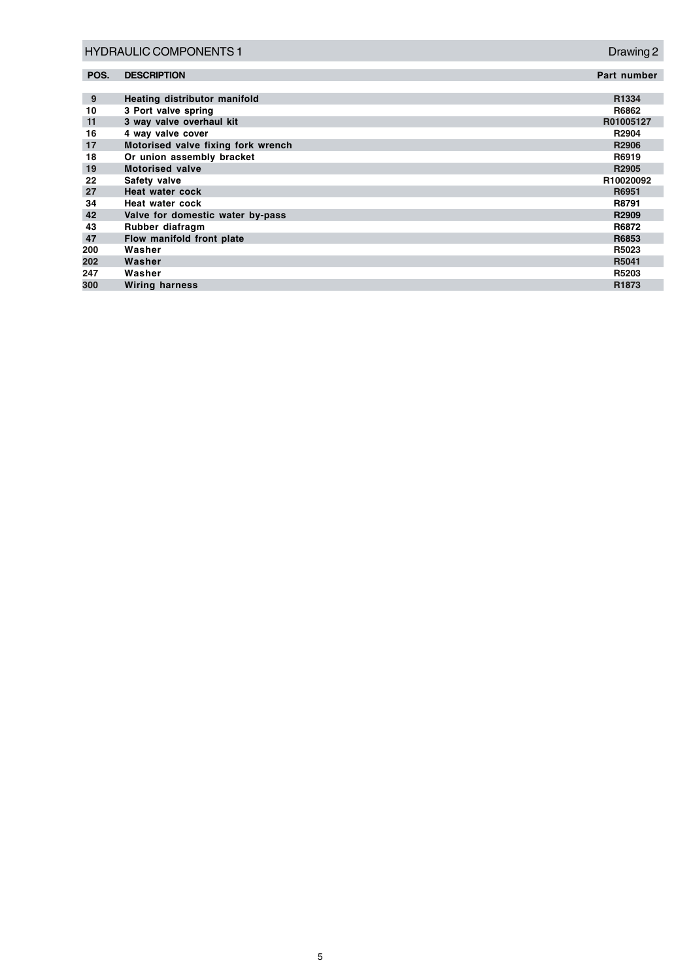| <b>HYDRAULIC COMPONENTS 1</b> |                                    | Drawing 2   |
|-------------------------------|------------------------------------|-------------|
| POS.                          | <b>DESCRIPTION</b>                 | Part number |
|                               |                                    |             |
| 9                             | Heating distributor manifold       | R1334       |
| 10                            | 3 Port valve spring                | R6862       |
| 11                            | 3 way valve overhaul kit           | R01005127   |
| 16                            | 4 way valve cover                  | R2904       |
| 17                            | Motorised valve fixing fork wrench | R2906       |
| 18                            | Or union assembly bracket          | R6919       |
| 19                            | <b>Motorised valve</b>             | R2905       |
| 22                            | Safety valve                       | R10020092   |
| 27                            | Heat water cock                    | R6951       |
| 34                            | Heat water cock                    | R8791       |
| 42                            | Valve for domestic water by-pass   | R2909       |
| 43                            | Rubber diafragm                    | R6872       |
| 47                            | Flow manifold front plate          | R6853       |
| 200                           | Washer                             | R5023       |
| 202                           | Washer                             | R5041       |
| 247                           | Washer                             | R5203       |
| 300                           | <b>Wiring harness</b>              | R1873       |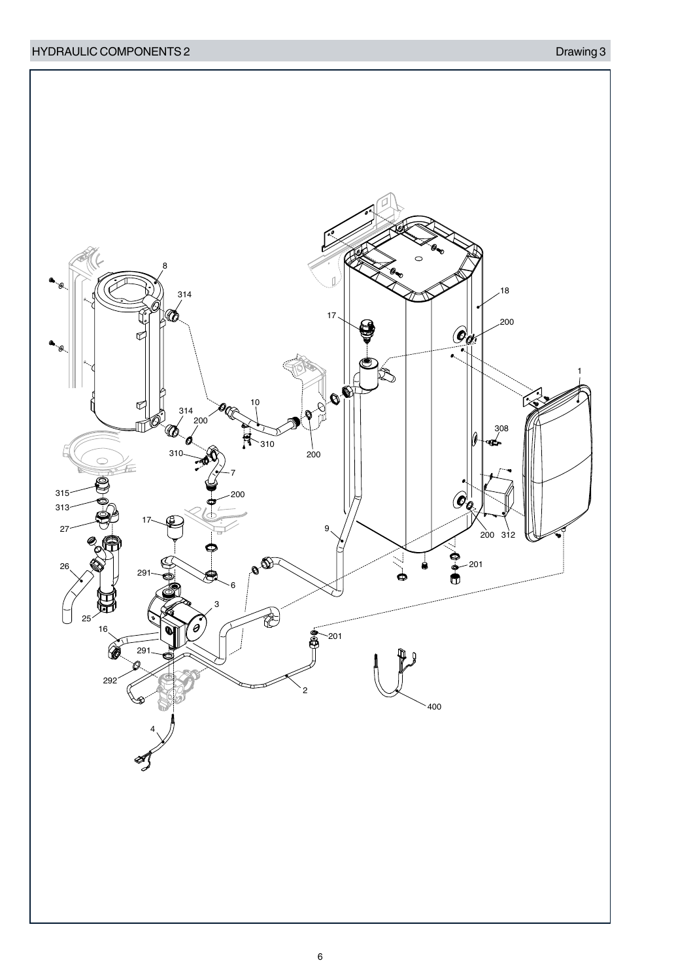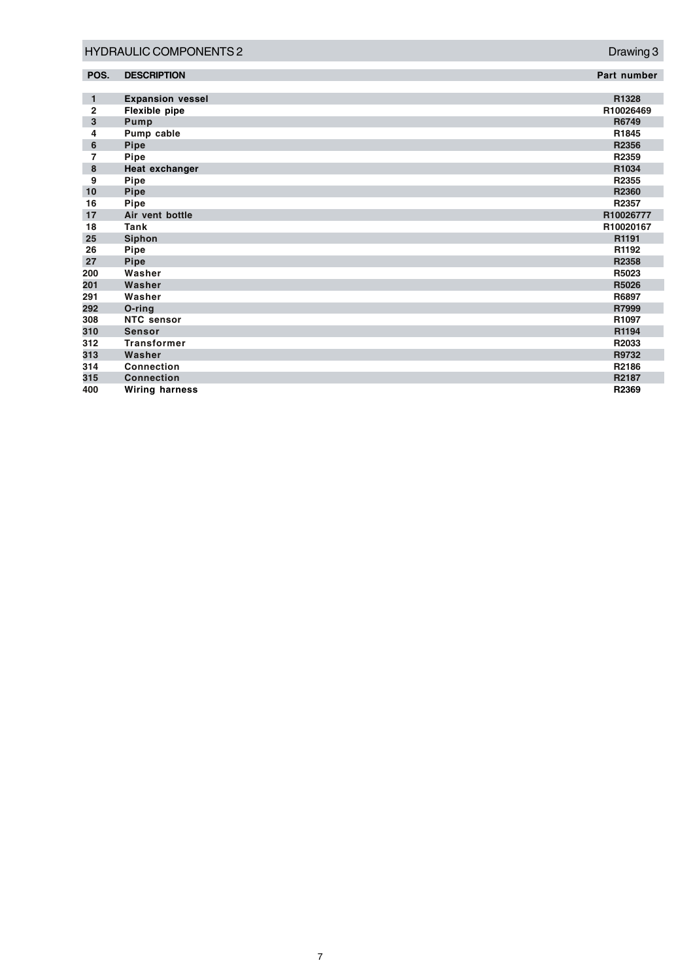| <b>HYDRAULIC COMPONENTS 2</b> |                         | Drawing 3   |
|-------------------------------|-------------------------|-------------|
| POS.                          | <b>DESCRIPTION</b>      | Part number |
|                               |                         |             |
| $\mathbf{1}$                  | <b>Expansion vessel</b> | R1328       |
| $\mathbf{2}$                  | Flexible pipe           | R10026469   |
| 3                             | Pump                    | R6749       |
| 4                             | Pump cable              | R1845       |
| 6                             | Pipe                    | R2356       |
| $\overline{7}$                | Pipe                    | R2359       |
| 8                             | Heat exchanger          | R1034       |
| 9                             | Pipe                    | R2355       |
| 10                            | <b>Pipe</b>             | R2360       |
| 16                            | Pipe                    | R2357       |
| 17                            | Air vent bottle         | R10026777   |
| 18                            | Tank                    | R10020167   |
| 25                            | <b>Siphon</b>           | R1191       |
| 26                            | Pipe                    | R1192       |
| 27                            | <b>Pipe</b>             | R2358       |
| 200                           | Washer                  | R5023       |
| 201                           | Washer                  | R5026       |
| 291                           | Washer                  | R6897       |
| 292                           | O-ring                  | R7999       |
| 308                           | <b>NTC</b> sensor       | R1097       |
| 310                           | <b>Sensor</b>           | R1194       |
| 312                           | <b>Transformer</b>      | R2033       |
| 313                           | Washer                  | R9732       |
| 314                           | Connection              | R2186       |
| 315                           | <b>Connection</b>       | R2187       |
| 400                           | <b>Wiring harness</b>   | R2369       |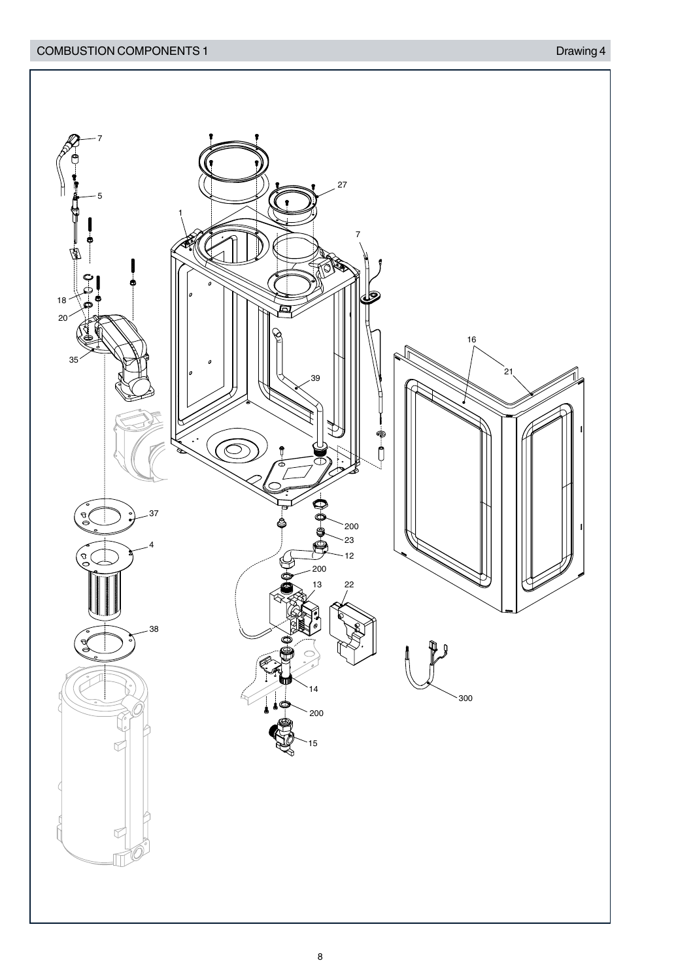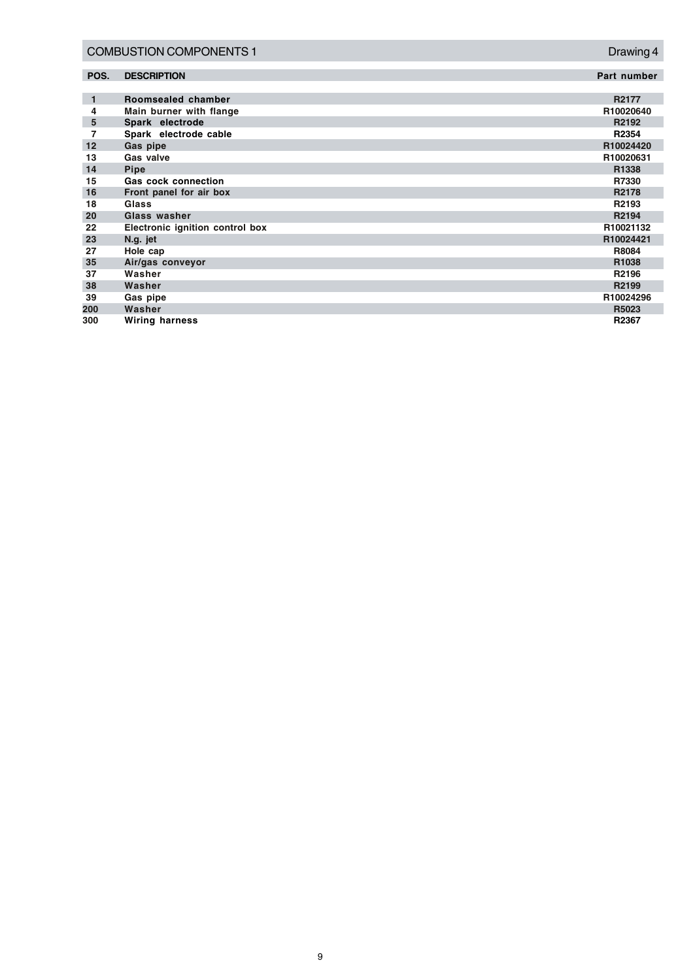|              | <b>COMBUSTION COMPONENTS 1</b>  | Drawing 4   |
|--------------|---------------------------------|-------------|
| POS.         | <b>DESCRIPTION</b>              | Part number |
| $\mathbf{1}$ | Roomsealed chamber              | R2177       |
| 4            | Main burner with flange         | R10020640   |
| 5            | Spark electrode                 | R2192       |
| 7            | Spark electrode cable           | R2354       |
| 12           | Gas pipe                        | R10024420   |
| 13           | Gas valve                       | R10020631   |
| 14           | <b>Pipe</b>                     | R1338       |
| 15           | <b>Gas cock connection</b>      | R7330       |
| 16           | Front panel for air box         | R2178       |
| 18           | Glass                           | R2193       |
| 20           | Glass washer                    | R2194       |
| 22           | Electronic ignition control box | R10021132   |
| 23           | N.g. jet                        | R10024421   |
| 27           | Hole cap                        | R8084       |
| 35           | Air/gas conveyor                | R1038       |
| 37           | Washer                          | R2196       |
| 38           | Washer                          | R2199       |
| 39           | Gas pipe                        | R10024296   |
| 200          | Washer                          | R5023       |
| 300          | <b>Wiring harness</b>           | R2367       |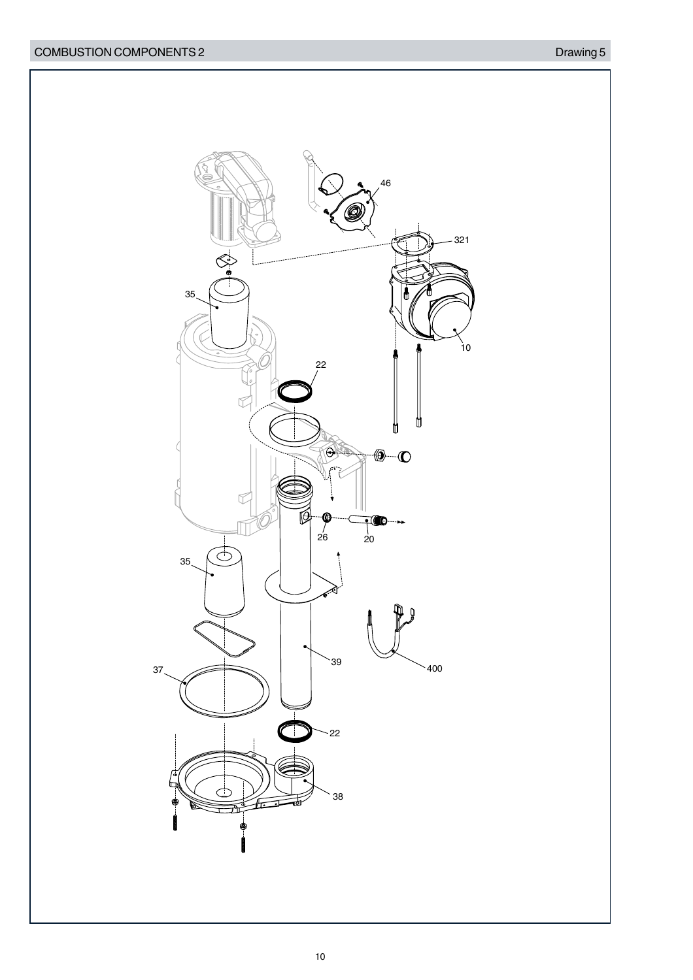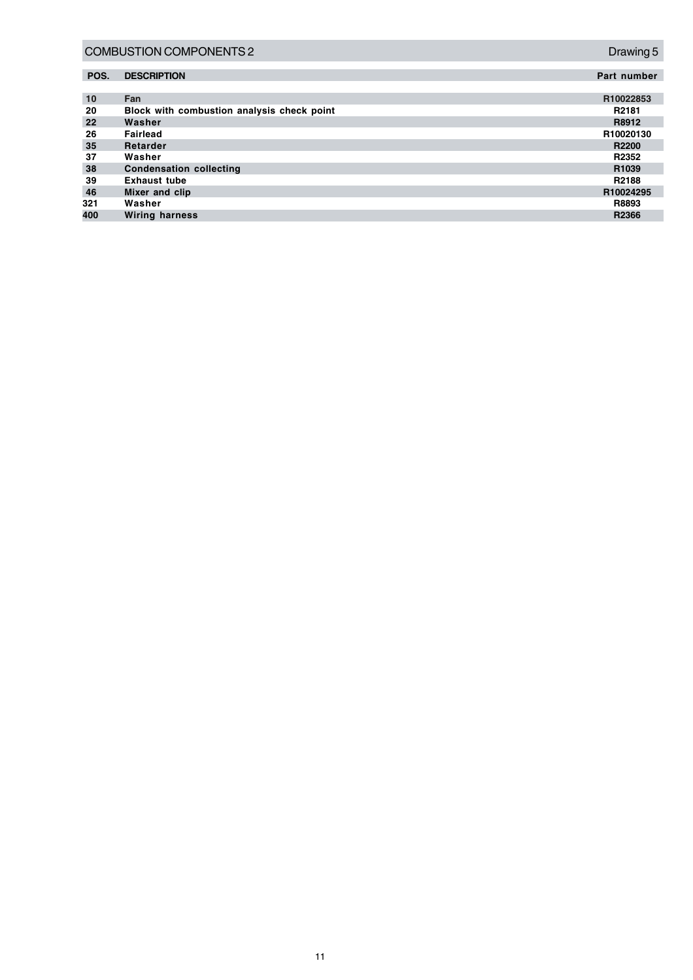|      | <b>COMBUSTION COMPONENTS 2</b>             | Drawing 5         |
|------|--------------------------------------------|-------------------|
| POS. | <b>DESCRIPTION</b>                         | Part number       |
| 10   | Fan                                        | R10022853         |
| 20   | Block with combustion analysis check point | R <sub>2181</sub> |
| 22   | Washer                                     | R8912             |
| 26   | <b>Fairlead</b>                            | R10020130         |
| 35   | Retarder                                   | R2200             |
| 37   | Washer                                     | R2352             |
| 38   | <b>Condensation collecting</b>             | R <sub>1039</sub> |
| 39   | <b>Exhaust tube</b>                        | R2188             |
| 46   | Mixer and clip                             | R10024295         |
| 321  | Washer                                     | R8893             |
| 400  | <b>Wiring harness</b>                      | R2366             |